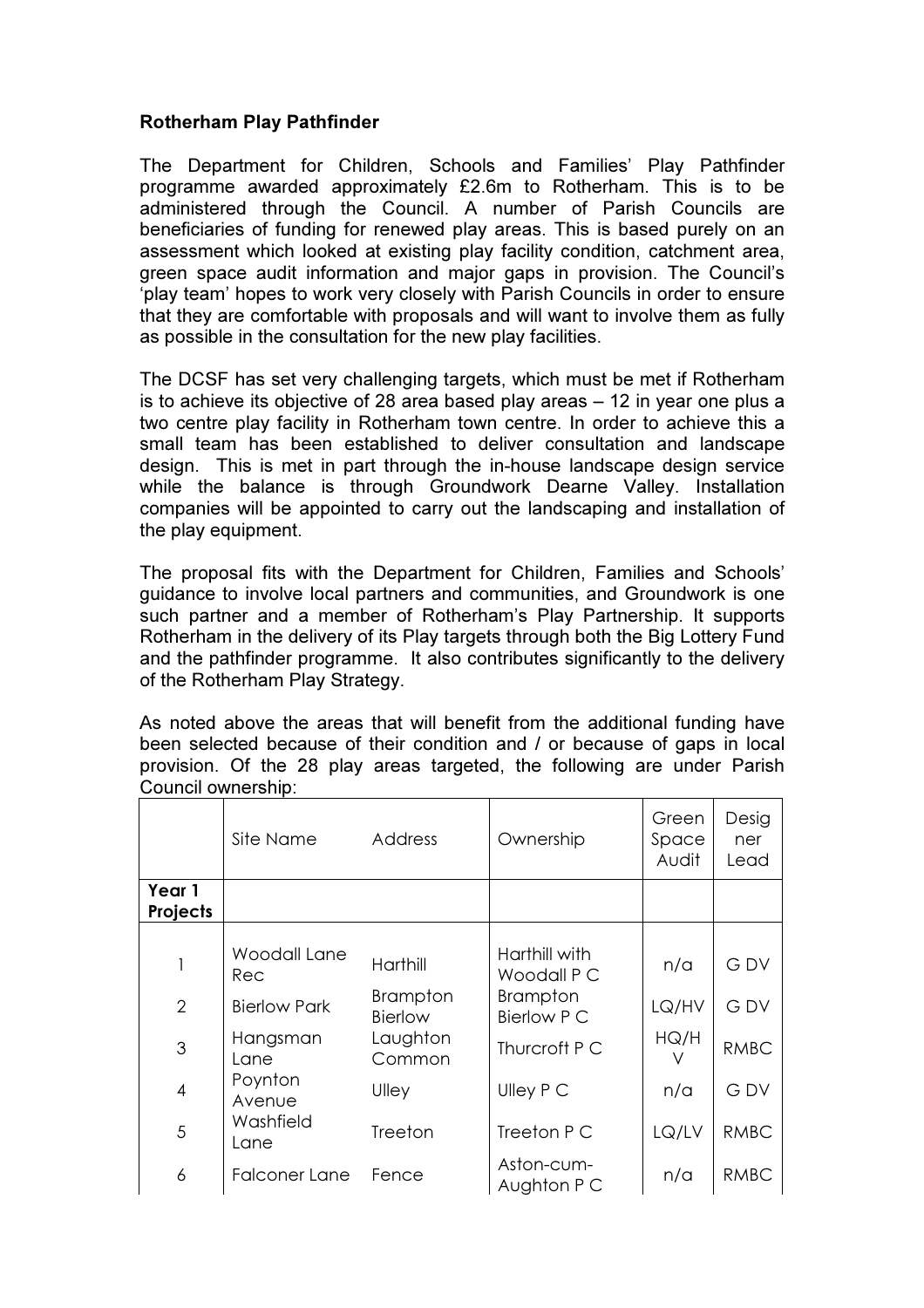## Rotherham Play Pathfinder

The Department for Children, Schools and Families' Play Pathfinder programme awarded approximately £2.6m to Rotherham. This is to be administered through the Council. A number of Parish Councils are beneficiaries of funding for renewed play areas. This is based purely on an assessment which looked at existing play facility condition, catchment area, green space audit information and major gaps in provision. The Council's 'play team' hopes to work very closely with Parish Councils in order to ensure that they are comfortable with proposals and will want to involve them as fully as possible in the consultation for the new play facilities.

The DCSF has set very challenging targets, which must be met if Rotherham is to achieve its objective of 28 area based play areas – 12 in year one plus a two centre play facility in Rotherham town centre. In order to achieve this a small team has been established to deliver consultation and landscape design. This is met in part through the in-house landscape design service while the balance is through Groundwork Dearne Valley. Installation companies will be appointed to carry out the landscaping and installation of the play equipment.

The proposal fits with the Department for Children, Families and Schools' guidance to involve local partners and communities, and Groundwork is one such partner and a member of Rotherham's Play Partnership. It supports Rotherham in the delivery of its Play targets through both the Big Lottery Fund and the pathfinder programme. It also contributes significantly to the delivery of the Rotherham Play Strategy.

As noted above the areas that will benefit from the additional funding have been selected because of their condition and / or because of gaps in local provision. Of the 28 play areas targeted, the following are under Parish Council ownership:

|                    | Site Name            | <b>Address</b>             | Ownership                      | Green<br>Space<br>Audit | Desig<br>ner<br>Lead |
|--------------------|----------------------|----------------------------|--------------------------------|-------------------------|----------------------|
| Year 1<br>Projects |                      |                            |                                |                         |                      |
|                    |                      |                            |                                |                         |                      |
|                    | Woodall Lane<br>Rec  | Harthill                   | Harthill with<br>Woodall P C   | n/a                     | <b>GDV</b>           |
| $\overline{2}$     | <b>Bierlow Park</b>  | <b>Brampton</b><br>Bierlow | <b>Brampton</b><br>Bierlow P C | LQ/HV                   | <b>GDV</b>           |
| $\mathfrak{S}$     | Hangsman<br>Lane     | Laughton<br>Common         | Thurcroft P C                  | HQ/H                    | <b>RMBC</b>          |
| $\overline{4}$     | Poynton<br>Avenue    | Ulley                      | Ulley P C                      | n/a                     | <b>GDV</b>           |
| 5                  | Washfield<br>Lane    | Treeton                    | Treeton P C                    | LQ/LV                   | <b>RMBC</b>          |
| 6                  | <b>Falconer Lane</b> | Fence                      | Aston-cum-<br>Aughton P C      | n/a                     | <b>RMBC</b>          |